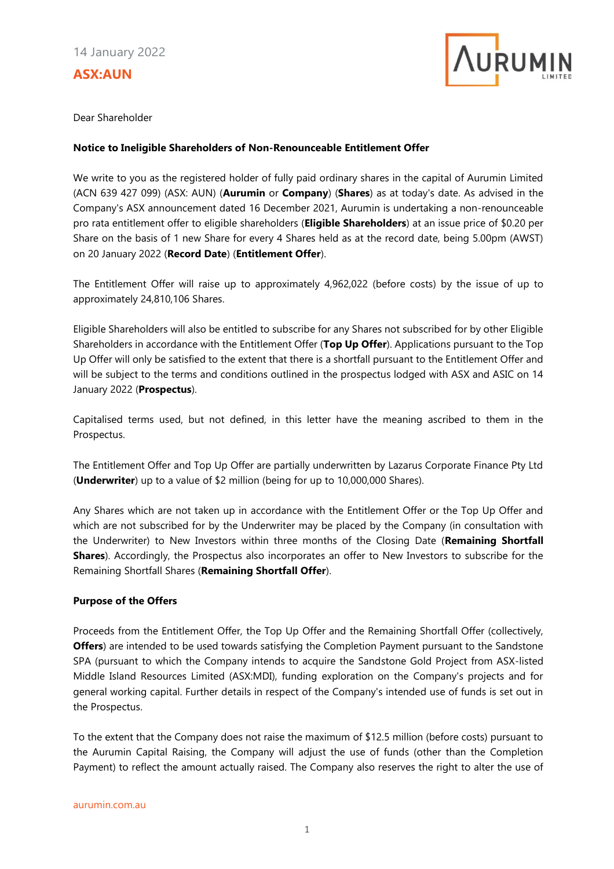# **ASX:AUN**



Dear Shareholder

#### **Notice to Ineligible Shareholders of Non-Renounceable Entitlement Offer**

We write to you as the registered holder of fully paid ordinary shares in the capital of Aurumin Limited (ACN 639 427 099) (ASX: AUN) (**Aurumin** or **Company**) (**Shares**) as at today's date. As advised in the Company's ASX announcement dated 16 December 2021, Aurumin is undertaking a non-renounceable pro rata entitlement offer to eligible shareholders (**Eligible Shareholders**) at an issue price of \$0.20 per Share on the basis of 1 new Share for every 4 Shares held as at the record date, being 5.00pm (AWST) on 20 January 2022 (**Record Date**) (**Entitlement Offer**).

The Entitlement Offer will raise up to approximately 4,962,022 (before costs) by the issue of up to approximately 24,810,106 Shares.

Eligible Shareholders will also be entitled to subscribe for any Shares not subscribed for by other Eligible Shareholders in accordance with the Entitlement Offer (**Top Up Offer**). Applications pursuant to the Top Up Offer will only be satisfied to the extent that there is a shortfall pursuant to the Entitlement Offer and will be subject to the terms and conditions outlined in the prospectus lodged with ASX and ASIC on 14 January 2022 (**Prospectus**).

Capitalised terms used, but not defined, in this letter have the meaning ascribed to them in the Prospectus.

The Entitlement Offer and Top Up Offer are partially underwritten by Lazarus Corporate Finance Pty Ltd (**Underwriter**) up to a value of \$2 million (being for up to 10,000,000 Shares).

Any Shares which are not taken up in accordance with the Entitlement Offer or the Top Up Offer and which are not subscribed for by the Underwriter may be placed by the Company (in consultation with the Underwriter) to New Investors within three months of the Closing Date (**Remaining Shortfall Shares**). Accordingly, the Prospectus also incorporates an offer to New Investors to subscribe for the Remaining Shortfall Shares (**Remaining Shortfall Offer**).

### **Purpose of the Offers**

Proceeds from the Entitlement Offer, the Top Up Offer and the Remaining Shortfall Offer (collectively, **Offers**) are intended to be used towards satisfying the Completion Payment pursuant to the Sandstone SPA (pursuant to which the Company intends to acquire the Sandstone Gold Project from ASX-listed Middle Island Resources Limited (ASX:MDI), funding exploration on the Company's projects and for general working capital. Further details in respect of the Company's intended use of funds is set out in the Prospectus.

To the extent that the Company does not raise the maximum of \$12.5 million (before costs) pursuant to the Aurumin Capital Raising, the Company will adjust the use of funds (other than the Completion Payment) to reflect the amount actually raised. The Company also reserves the right to alter the use of